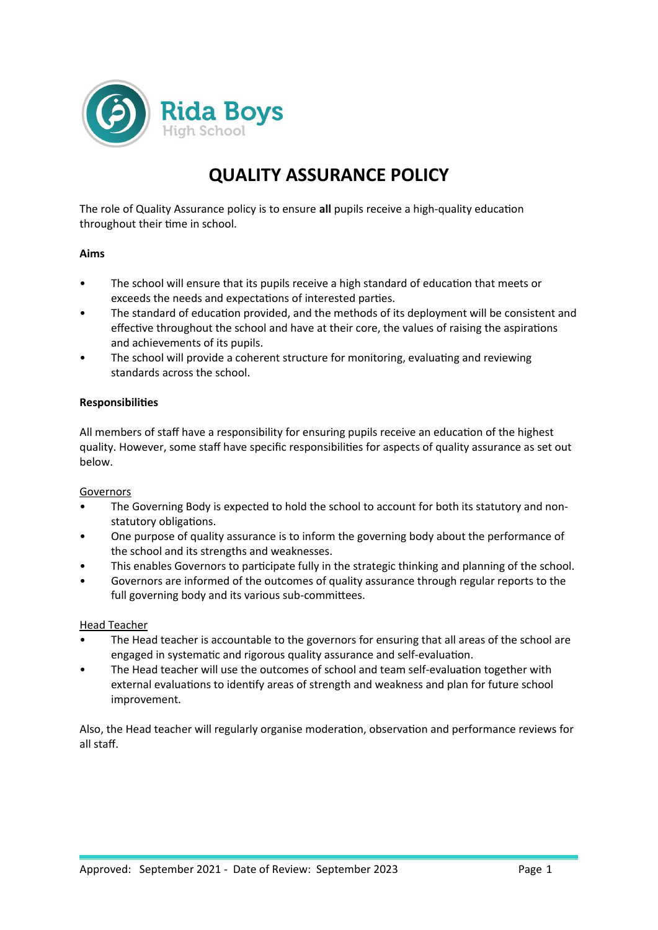

# **QUALITY ASSURANCE POLICY**

The role of Quality Assurance policy is to ensure **all** pupils receive a high-quality education throughout their time in school.

## **Aims**

- The school will ensure that its pupils receive a high standard of education that meets or exceeds the needs and expectations of interested parties.
- The standard of education provided, and the methods of its deployment will be consistent and effective throughout the school and have at their core, the values of raising the aspirations and achievements of its pupils.
- The school will provide a coherent structure for monitoring, evaluating and reviewing standards across the school.

## **Responsibilities**

All members of staff have a responsibility for ensuring pupils receive an education of the highest quality. However, some staff have specific responsibilities for aspects of quality assurance as set out below.

#### Governors

- The Governing Body is expected to hold the school to account for both its statutory and nonstatutory obligations.
- One purpose of quality assurance is to inform the governing body about the performance of the school and its strengths and weaknesses.
- This enables Governors to participate fully in the strategic thinking and planning of the school.
- Governors are informed of the outcomes of quality assurance through regular reports to the full governing body and its various sub-committees.

#### Head Teacher

- The Head teacher is accountable to the governors for ensuring that all areas of the school are engaged in systematic and rigorous quality assurance and self-evaluation.
- The Head teacher will use the outcomes of school and team self-evaluation together with external evaluations to identify areas of strength and weakness and plan for future school improvement.

Also, the Head teacher will regularly organise moderation, observation and performance reviews for all staff.